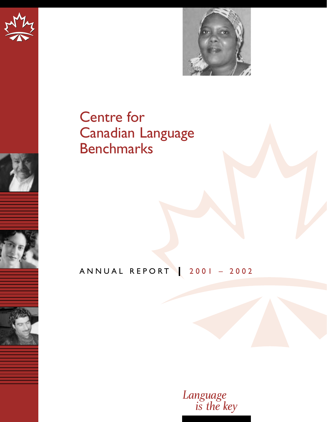











Centre for Canadian Language **Benchmarks** 

# ANNUAL REPORT 2001 – 2002

*Language is the key*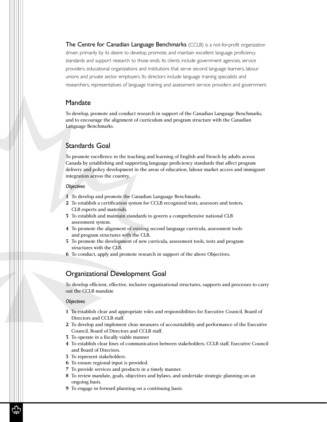The Centre for Canadian Language Benchmarks (CCLB) is a not-for-profit organization driven primarily by its desire to develop, promote, and maintain excellent language proficiency standards and support research to those ends. Its clients include government agencies, service providers, educational organizations and institutions that serve second language learners, labour unions and private sector employers. Its directors include language training specialists and researchers, representatives of language training and assessment service providers and government.

#### Mandate

To develop, promote and conduct research in support of the Canadian Language Benchmarks, and to encourage the alignment of curriculum and program structure with the Canadian Language Benchmarks.

### Standards Goal

To promote excellence in the teaching and learning of English and French by adults across Canada by establishing and supporting language proficiency standards that affect program delivery and policy development in the areas of education, labour market access and immigrant integration across the country.

#### *Objectives*

- **1** To develop and promote the Canadian Language Benchmarks.
- **2** To establish a certification system for CCLB recognized tests, assessors and testers, CLB experts and materials.
- **3** To establish and maintain standards to govern a comprehensive national CLB assessment system.
- **4** To promote the alignment of existing second language curricula, assessment tools and program structures with the CLB.
- **5** To promote the development of new curricula, assessment tools, tests and program structures with the CLB.
- **6** To conduct, apply and promote research in support of the above Objectives.

### Organizational Development Goal

To develop efficient, effective, inclusive organizational structures, supports and processes to carry out the CCLB mandate

#### *Objectives*

- **1** To establish clear and appropriate roles and responsibilities for Executive Council, Board of Directors and CCLB staff.
- **2** To develop and implement clear measures of accountability and performance of the Executive Council, Board of Directors and CCLB staff.
- **3** To operate in a fiscally viable manner
- **4** To establish clear lines of communication between stakeholders, CCLB staff, Executive Council and Board of Directors.
- **5** To represent stakeholders.
- **6** To ensure regional input is provided.
- **7** To provide services and products in a timely manner.
- **8** To review mandate, goals, objectives and bylaws, and undertake strategic planning on an ongoing basis.
- **9** To engage in forward planning on a continuing basis.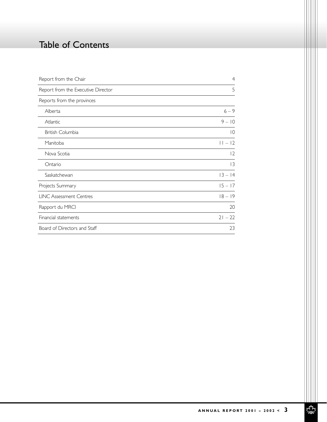# Table of Contents

| Report from the Chair              | $\overline{4}$  |
|------------------------------------|-----------------|
| Report from the Executive Director | 5               |
| Reports from the provinces         |                 |
| Alberta                            | $6 - 9$         |
| Atlantic                           | $9 - 10$        |
| British Columbia                   | $\overline{10}$ |
| Manitoba                           | $11 - 12$       |
| Nova Scotia                        | $\overline{2}$  |
| Ontario                            | 13              |
| Saskatchewan                       | $13 - 14$       |
| Projects Summary                   | $15 - 17$       |
| <b>LINC Assessment Centres</b>     | $18 - 19$       |
| Rapport du MRCI                    | 20              |
| Financial statements               | $21 - 22$       |
| Board of Directors and Staff       | 23              |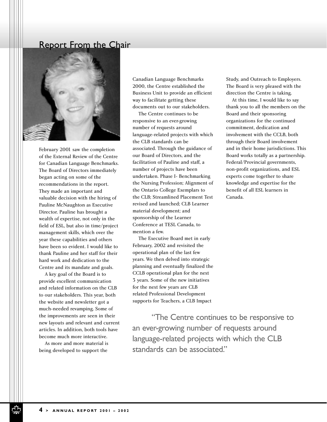### Report From the Chair



February 2001 saw the completion of the External Review of the Centre for Canadian Language Benchmarks. The Board of Directors immediately began acting on some of the recommendations in the report. They made an important and valuable decision with the hiring of Pauline McNaughton as Executive Director. Pauline has brought a wealth of expertise, not only in the field of ESL, but also in time/project management skills, which over the year these capabilities and others have been so evident. I would like to thank Pauline and her staff for their hard work and dedication to the Centre and its mandate and goals.

A key goal of the Board is to provide excellent communication and related information on the CLB to our stakeholders. This year, both the website and newsletter got a much-needed revamping. Some of the improvements are seen in their new layouts and relevant and current articles. In addition, both tools have become much more interactive.

As more and more material is being developed to support the

Canadian Language Benchmarks 2000, the Centre established the Business Unit to provide an efficient way to facilitate getting these documents out to our stakeholders.

The Centre continues to be responsive to an ever-growing number of requests around language-related projects with which the CLB standards can be associated. Through the guidance of our Board of Directors, and the facilitation of Pauline and staff, a number of projects have been undertaken. Phase I- Benchmarking the Nursing Profession; Alignment of the Ontario College Exemplars to the CLB; Streamlined Placement Test revised and launched; CLB Learner material development; and sponsorship of the Learner Conference at TESL Canada, to mention a few.

The Executive Board met in early February, 2002 and revisited the operational plan of the last few years. We then delved into strategic planning and eventually finalized the CCLB operational plan for the next 3 years. Some of the new initiatives for the next few years are CLB related Professional Development supports for Teachers, a CLB Impact

Study, and Outreach to Employers. The Board is very pleased with the direction the Centre is taking.

At this time, I would like to say thank you to all the members on the Board and their sponsoring organizations for the continued commitment, dedication and involvement with the CCLB, both through their Board involvement and in their home jurisdictions. This Board works totally as a partnership. Federal/Provincial governments, non-profit organizations, and ESL experts come together to share knowledge and expertise for the benefit of all ESL learners in Canada.

"The Centre continues to be responsive to an ever-growing number of requests around language-related projects with which the CLB standards can be associated."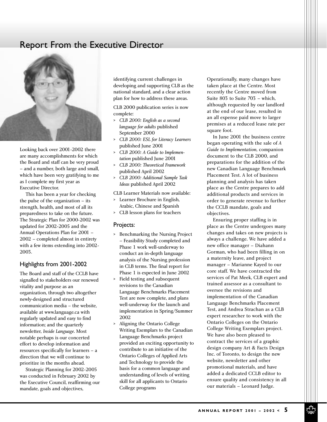### Report From the Executive Director



Looking back over 2001-2002 there are many accomplishments for which the Board and staff can be very proud – and a number, both large and small, which have been very gratifying to me as I complete my first year as Executive Director.

This has been a year for checking the pulse of the organization – its strength, health, and most of all its preparedness to take on the future. The Strategic Plan for 2000-2002 was updated for 2002-2005 and the Annual Operations Plan for 2001 – 2002 – completed almost in entirety with a few items extending into 2002- 2003.

#### Highlights from 2001-2002

The Board and staff of the CCLB have signalled to stakeholders our renewed vitality and purpose as an organization, through two altogether newly-designed and structured communication media – the website, available at www.language.ca with regularly updated and easy to find information; and the quarterly newsletter, *Inside Language*. Most notable perhaps is our concerted effort to develop information and resources specifically for learners – a direction that we will continue to prioritize in the months ahead.

Strategic Planning for 2002-2005 was conducted in February 2002 by the Executive Council, reaffirming our mandate, goals and objectives,

identifying current challenges in developing and supporting CLB as the national standard, and a clear action plan for how to address these areas.

CLB 2000 publication series is now complete:

- > *CLB 2000: English as a second language for adults* published September 2000
- > *CLB 2000: ESL for Literacy Learners* published June 2001
- > *CLB 2000: A Guide to Implementation* published June 2001
- > *CLB 2000: Theoretical Framework* published April 2002
- > *CLB 2000: Additional Sample Task Ideas* published April 2002

CLB Learner Materials now available:

- > Learner Brochure in English, Arabic, Chinese and Spanish
- > CLB lesson plans for teachers

#### Projects:

- > Benchmarking the Nursing Project – Feasibility Study completed and Phase 1 work well-underway to conduct an in-depth language analysis of the Nursing profession in CLB terms. The final report for Phase 1 is expected in June 2002
- > Field testing and subsequent revisions to the Canadian Language Benchmarks Placement Test are now complete, and plans well-underway for the launch and implementation in Spring/Summer 2002
- > Aligning the Ontario College Writing Exemplars to the Canadian Language Benchmarks project provided an exciting opportunity to contribute to an initiative of the Ontario Colleges of Applied Arts and Technology to provide the basis for a common language and understanding of levels of writing skill for all applicants to Ontario College programs

Operationally, many changes have taken place at the Centre. Most recently the Centre moved from Suite 803 to Suite 703 – which, although requested by our landlord at the end of our lease, resulted in an all expense paid move to larger premises at a reduced lease rate per square foot.

In June 2001 the business centre began operating with the sale of *A Guide to Implementation*, companion document to the CLB 2000, and preparations for the addition of the new Canadian Language Benchmark Placement Test. A lot of business planning and analysis has taken place as the Centre prepares to add additional products and services in order to generate revenue to further the CCLB mandate, goals and objectives.

Ensuring proper staffing is in place as the Centre undergoes many changes and takes on new projects is always a challenge. We have added a new office manager – Diahann Gorman, who had been filling in on a maternity leave, and project manager – Marianne Kayed to our core staff. We have contracted the services of Pat Meek, CLB expert and trained assessor as a consultant to oversee the revisions and implementation of the Canadian Language Benchmarks Placement Test, and Andrea Strachan as a CLB expert researcher to work with the Ontario Colleges on the Ontario College Writing Exemplars project. We have also been pleased to contract the services of a graphic design company Art & Facts Design Inc. of Toronto, to design the new website, newsletter and other promotional materials, and have added a dedicated CCLB editor to ensure quality and consistency in all our materials – Leonard Judge.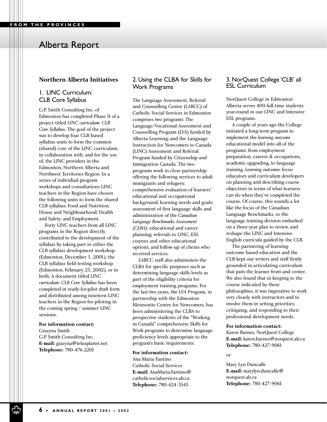#### **Northern Alberta Initiatives**

#### 1. LINC Curriculum: CLB Core Syllabus

G.P. Smith Consulting Inc. of Edmonton has completed Phase II of a project titled *LINC curriculum: CLB Core Syllabus.* The goal of the project was to develop four CLB-based syllabus units to form the common (shared) core of the LINC curriculum, in collaboration with, and for the use of, the LINC providers in the Edmonton, Northern Alberta and Northwest Territories Region. In a series of individual program workshops and consultations LINC teachers in the Region have chosen the following units to form the shared CLB syllabus: Food and Nutrition; House and Neighbourhood; Health and Safety; and Employment.

Forty LINC teachers from all LINC programs in the Region directly contributed to the development of the syllabus by taking part in either the CLB syllabus development workshop (Edmonton, December 1, 2001), the CLB syllabus field-testing workshop (Edmonton, February 23, 2002), or in both. A document titled *LINC curriculum: CLB Core Syllabus* has been completed in ready-for-pilot draft form and distributed among nineteen LINC teachers in the Region for piloting in the coming spring / summer LINC sessions.

#### **For information contact:**

Grazyna Smith G.P. Smith Consulting Inc. **E-mail:** grazyna@telusplanet.net **Telephone:** 780-474-2201

#### 2. Using the CLBA for Skills for Work Programs

The Language Assessment, Referral and Counselling Centre (LARCC) of Catholic Social Services in Edmonton comprises two programs: The Language/Vocational Assessment and Counselling Program (LVA) funded by Alberta Learning; and the Language Instruction for Newcomers to Canada (LINC) Assessment and Referral Program funded by Citizenship and Immigration Canada. The two programs work in close partnership offering the following services to adult immigrants and refugees: comprehensive evaluation of learners' educational and occupational background, learning needs and goals; assessment of first language skills and administration of the *Canadian Language Benchmarks Assessment (CLBA)*; educational and career planning; referrals to LINC, ESL courses and other educational options; and follow-up of clients who received services.

LARCC staff also administers the CLBA for specific purposes such as determining language skills levels as part of the eligibility criteria for employment training programs. For the last two years, the LVA Program, in partnership with the Edmonton Mennonite Centre for Newcomers, has been administering the CLBA to prospective students of the "Working in Canada" comprehensive Skills for Work programs to determine language proficiency levels appropriate to the program's basic requirements.

#### **For information contact:**

Ana Maria Fantino Catholic Social Services **E-mail:** AnaMaria.Fantino@ catholicsocialservices.ab.ca **Telephone:** 780-424-3545

#### 3. NorQuest College 'CLB' all ESL Curriculum

NorQuest College in Edmonton Alberta serves 400 full-time students year-round in our LINC and Intensive ESL programs.

A couple of years ago the College initiated a long-term program to implement the *learning outcome* educational model into all of the programs; from employment preparation, careers & occupations, academic upgrading, to language training. *Learning outcomes* focus educators and curriculum developers on planning and describing course objectives in terms of what learners can do when they've completed the course. Of course, this sounds a lot like the focus of the Canadian Language Benchmarks, so the language training division embarked on a three-year plan to review, and reshape the LINC and Intensive English curricula guided by the CLB.

The partnering of learningoutcome based education and the CLB kept our writers and staff firmly grounded in articulating curriculum that puts the learner front and center. We also found that in keeping to the course indicated by these philosophies, it was imperative to work very closely with instructors and to involve them in setting priorities, critiquing, and responding to their professional development needs.

#### **For information contact:**

Karen Barnes, NorQuest College **E-mail:** karen.barnes@norquest.ab.ca **Telephone:** 780-427-9061

#### or

Mary Lyn Duncalfe **E-mail:** marylyn.duncalfe@ norquest.ab.ca **Telephone:** 780-427-9061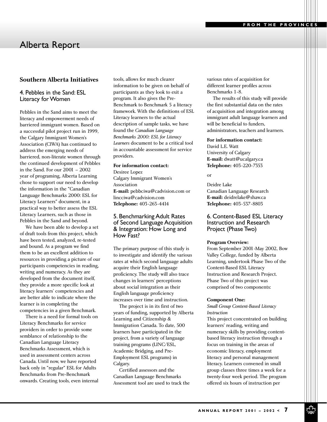#### **Southern Alberta Initiatives**

#### 4. Pebbles in the Sand: ESL Literacy for Women

Pebbles in the Sand aims to meet the literacy and empowerment needs of barriered immigrant women. Based on a successful pilot project run in 1999, the Calgary Immigrant Women's Association (CIWA) has continued to address the emerging needs of barriered, non-literate women through the continued development of Pebbles in the Sand. For our 2001 – 2002 year of programing, Alberta Learning chose to support our need to develop the information in the "Canadian Language Benchmarks 2000: ESL for Literacy Learners" document, in a practical way to better assess the ESL Literacy Learners, such as those in Pebbles in the Sand and beyond.

We have been able to develop a set of draft tools from this project, which have been tested, analyzed, re-tested and bound. As a program we find them to be an excellent addition to resources in providing a picture of our participants competencies in reading, writing and numeracy. As they are developed from the document itself, they provide a more specific look at literacy learners' competencies and are better able to indicate where the learner is in completing the competencies in a given Benchmark.

There is a need for formal tools on Literacy Benchmarks for service providers in order to provide some semblance of relationship to the Canadian Language Literacy Benchmarks Assessment, which is used in assessment centers across Canada. Until now, we have reported back only in "regular" ESL for Adults Benchmarks from Pre-Benchmark onwards. Creating tools, even internal tools, allows for much clearer information to be given on behalf of participants as they look to exit a program. It also gives the Pre-Benchmark to Benchmark 5 a literacy framework. With the definitions of ESL Literacy learners to the actual description of sample tasks, we have found the *Canadian Language Benchmarks 2000: ESL for Literacy Learners* document to be a critical tool in accountable assessment for service providers.

#### **For information contact:**

Desiree Lopez Calgary Immigrant Women's Association **E-mail:** pebbciwa@cadvision.com or lincciwa@cadvision.com **Telephone:** 403-263-4414

#### 5. Benchmarking Adult Rates of Second Language Acquisition & Integration: How Long and How Fast?

The primary purpose of this study is to investigate and identify the various rates at which second language adults acquire their English language proficiency. The study will also trace changes in learners' perceptions about social integration as their English language proficiency increases over time and instruction.

The project is in its first of two years of funding, supported by Alberta Learning and Citizenship & Immigration Canada. To date, 500 learners have participated in the project, from a variety of language training programs (LINC/ESL, Academic Bridging, and Pre-Employment ESL programs) in Calgary.

Certified assessors and the Canadian Language Benchmarks Assessment tool are used to track the various rates of acquisition for different learner profiles across Benchmarks 1-8.

The results of this study will provide the first substantial data on the rates of acquisition and integration among immigrant adult language learners and will be beneficial to funders, administrators, teachers and learners.

**For information contact:**  David L.E. Watt University of Calgary

**E-mail:** dwatt@ucalgary.ca **Telephone:** 403-220-7353

or

Deidre Lake Canadian Language Research **E-mail:** deidrelake@shaw.ca **Telephone:** 403-537-8803

6. Content-Based ESL Literacy Instruction and Research Project (Phase Two)

#### **Program Overview:**

From September 2001-May 2002, Bow Valley College, funded by Alberta Learning, undertook Phase Two of the Content-Based ESL Literacy Instruction and Research Project. Phase Two of this project was comprised of two components:

#### **Component One:**

*Small Group Content-Based Literacy Instruction*

This project concentrated on building learners' reading, writing and numeracy skills by providing contentbased literacy instruction through a focus on training in the areas of economic literacy, employment literacy and personal management literacy. Learners convened in small group classes three times a week for a twenty-four week period. The program offered six hours of instruction per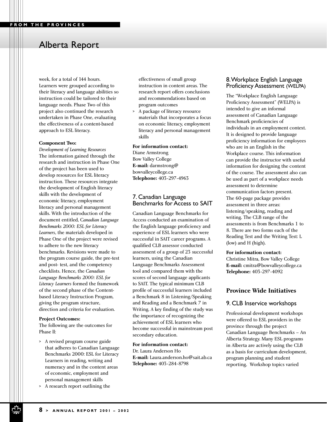week, for a total of 144 hours. Learners were grouped according to their literacy and language abilities so instruction could be tailored to their language needs. Phase Two of this project also continued the research undertaken in Phase One, evaluating the effectiveness of a content-based approach to ESL literacy.

#### **Component Two:**

*Development of Learning Resources* The information gained through the research and instruction in Phase One of the project has been used to develop resources for ESL literacy instruction. These resources integrate the development of English literacy skills with the development of economic literacy, employment literacy and personal management skills. With the introduction of the document entitled, C*anadian Language Benchmarks 2000: ESL for Literacy Learners*, the materials developed in Phase One of the project were revised to adhere to the new literacy benchmarks. Revisions were made to the program course guide, the pre-test and post- test, and the competency checklists. Hence, the *Canadian Language Benchmarks 2000: ESL for Literacy Learners* formed the framework of the second phase of the Contentbased Literacy Instruction Program, giving the program structure, direction and criteria for evaluation.

#### **Project Outcomes:**

The following are the outcomes for Phase ll:

- > A revised program course guide that adheres to Canadian Language Benchmarks 2000: ESL for Literacy Learners in reading, writing and numeracy and in the content areas of economic, employment and personal management skills
- > A research report outlining the

effectiveness of small group instruction in content areas. The research report offers conclusions and recommendations based on program outcomes

> A package of literacy resource materials that incorporates a focus on economic literacy, employment literacy and personal management skills

#### **For information contact:**

Diane Armstrong Bow Valley College **E-mail:** darmstrong@ bowvalleycollege.ca **Telephone:** 403-297-4963

#### 7. Canadian Language Benchmarks for Access to SAIT

Canadian Language Benchmarks for Access conducted an examination of the English language proficiency and experience of ESL learners who were successful in SAIT career programs. A qualified CLB assessor conducted assessment of a group of 23 successful learners, using the Canadian Language Benchmarks Assessment tool and compared them with the scores of second language applicants to SAIT. The typical minimum CLB profile of successful learners included a Benchmark 8 in Listening/Speaking and Reading and a Benchmark 7 in Writing. A key finding of the study was the importance of recognizing the achievement of ESL learners who become successful in mainstream post secondary education.

**For information contact:**  Dr. Laura Anderson Ho **E-mail:** Laura.anderson.ho@sait.ab.ca **Telephone:** 403-284-8798

#### 8.Workplace English Language Proficiency Assessment (WELPA)

The "Workplace English Language Proficiency Assessment" (WELPA) is intended to give an informal assessment of Canadian Language Benchmark proficiencies of individuals in an employment context. It is designed to provide language proficiency information for employees who are in an English in the Workplace course. This information can provide the instructor with useful information for designing the content of the course. The assessment also can be used as part of a workplace needs assessment to determine communication factors present. The 60-page package provides assessment in three areas: listening/speaking, reading and writing. The CLB range of the assessments is from Benchmarks 1 to 8. There are two forms each of the Reading Test and the Writing Test: L (low) and H (high).

#### **For information contact:**

Christine Mitra, Bow Valley College **E-mail:** cmitra@bowvalleycollege.ca **Telephone:** 403-297-4092

#### **Province Wide Initiatives**

#### 9. CLB Inservice workshops

Professional development workshops were offered to ESL providers in the province through the project Canadian Language Benchmarks – An Alberta Strategy. Many ESL programs in Alberta are actively using the CLB as a basis for curriculum development, program planning and student reporting. Workshop topics varied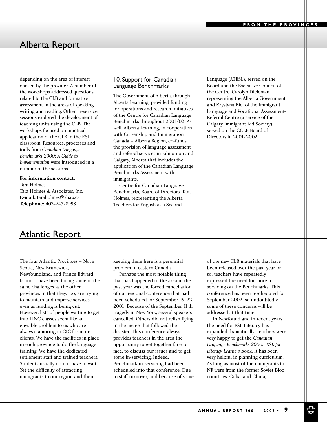depending on the area of interest chosen by the provider. A number of the workshops addressed questions related to the CLB and formative assessment in the areas of speaking, writing and reading. Other in-service sessions explored the development of teaching units using the CLB. The workshops focused on practical application of the CLB in the ESL classroom. Resources, processes and tools from *Canadian Language Benchmarks 2000: A Guide to Implementation* were introduced in a number of the sessions.

#### **For information contact:**

Tara Holmes Tara Holmes & Associates, Inc. **E-mail:** taraholmes@shaw.ca **Telephone:** 403-247-8998

#### 10. Support for Canadian Language Benchmarks

The Government of Alberta, through Alberta Learning, provided funding for operations and research initiatives of the Centre for Canadian Language Benchmarks throughout 2001/02. As well, Alberta Learning, in cooperation with Citizenship and Immigration Canada – Alberta Region, co-funds the provision of language assessment and referral services in Edmonton and Calgary, Alberta that includes the application of the Canadian Language Benchmarks Assessment with immigrants.

Centre for Canadian Language Benchmarks, Board of Directors, Tara Holmes, representing the Alberta Teachers for English as a Second

Language (ATESL), served on the Board and the Executive Council of the Centre. Carolyn Dieleman, representing the Alberta Government, and Krystyna Biel of the Immigrant Language and Vocational Assessment-Referral Centre (a service of the Calgary Immigrant Aid Society), served on the CCLB Board of Directors in 2001/2002.

### Atlantic Report

The four Atlantic Provinces – Nova Scotia, New Brunswick, Newfoundland, and Prince Edward Island – have been facing some of the same challenges as the other provinces in that they, too, are trying to maintain and improve services even as funding is being cut. However, lists of people waiting to get into LINC classes seem like an enviable problem to us who are always clamoring to CIC for more clients. We have the facilities in place in each province to do the language training. We have the dedicated settlement staff and trained teachers. Students usually do not have to wait. Yet the difficulty of attracting immigrants to our region and then

keeping them here is a perennial problem in eastern Canada.

Perhaps the most notable thing that has happened in the area in the past year was the forced cancellation of our regional conference that had been scheduled for September 19-22, 2001. Because of the September 11th tragedy in New York, several speakers cancelled. Others did not relish flying in the melee that followed the disaster. This conference always provides teachers in the area the opportunity to get together face-toface, to discuss our issues and to get some in-servicing. Indeed, Benchmark in-servicing had been scheduled into that conference. Due to staff turnover, and because of some of the new CLB materials that have been released over the past year or so, teachers have repeatedly expressed the need for more inservicing on the Benchmarks. This conference has been rescheduled for September 2002, so undoubtedly some of these concerns will be addressed at that time.

In Newfoundland in recent years the need for ESL Literacy has expanded dramatically. Teachers were very happy to get the *Canadian Language Benchmarks 2000: ESL for Literacy Learners* book. It has been very helpful in planning curriculum. As long as most of the immigrants to NF were from the former Soviet Bloc countries, Cuba, and China,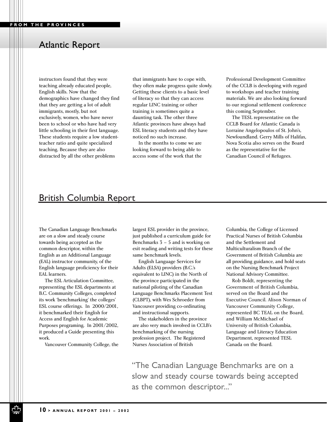### Atlantic Report

instructors found that they were teaching already educated people, English skills. Now that the demographics have changed they find that they are getting a lot of adult immigrants, mostly, but not exclusively, women, who have never been to school or who have had very little schooling in their first language. These students require a low studentteacher ratio and quite specialized teaching. Because they are also distracted by all the other problems

that immigrants have to cope with, they often make progress quite slowly. Getting these clients to a basic level of literacy so that they can access regular LINC training or other training is sometimes quite a daunting task. The other three Atlantic provinces have always had ESL literacy students and they have noticed no such increase.

In the months to come we are looking forward to being able to access some of the work that the Professional Development Committee of the CCLB is developing with regard to workshops and teacher training materials. We are also looking forward to our regional settlement conference this coming September.

The TESL representative on the CCLB Board for Atlantic Canada is Lorraine Angelopoulos of St. John's, Newfoundland. Gerry Mills of Halifax, Nova Scotia also serves on the Board as the representative for the Canadian Council of Refugees.

### British Columbia Report

The Canadian Language Benchmarks are on a slow and steady course towards being accepted as the common descriptor, within the English as an Additional Language (EAL) instructor community, of the English language proficiency for their EAL learners.

The ESL Articulation Committee, representing the ESL departments at B.C. Community Colleges, completed its work 'benchmarking' the colleges' ESL course offerings. In 2000/2001, it benchmarked their English for Access and English for Academic Purposes programing. In 2001/2002, it produced a Guide presenting this work.

Vancouver Community College, the

largest ESL provider in the province, just published a curriculum guide for Benchmarks 3 – 5 and is working on exit reading and writing tests for these same benchmark levels.

English Language Services for Adults (ELSA) providers (B.C.'s equivalent to LINC) in the North of the province participated in the national piloting of the Canadian Language Benchmarks Placement Test (CLBPT), with Wes Schroeder from Vancouver providing co-ordinating and instructional supports.

The stakeholders in the province are also very much involved in CCLB's benchmarking of the nursing profession project. The Registered Nurses Association of British

Columbia, the College of Licensed Practical Nurses of British Columbia and the Settlement and Multiculturalism Branch of the Government of British Columbia are all providing guidance, and hold seats on the Nursing Benchmark Project National Advisory Committee.

Rob Boldt, representing the Government of British Columbia, served on the Board and the Executive Council. Alison Norman of Vancouver Community College, represented BC TEAL on the Board, and William McMichael of University of British Columbia, Language and Literacy Education Department, represented TESL Canada on the Board.

"The Canadian Language Benchmarks are on a slow and steady course towards being accepted as the common descriptor..."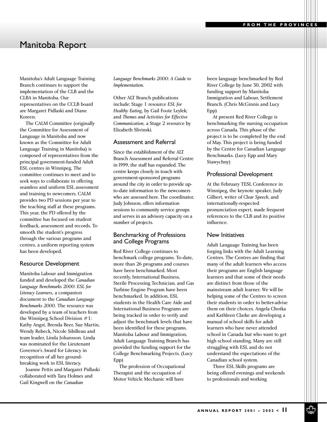### Manitoba Report

Manitoba's Adult Language Training Branch continues to support the implementation of the CLB and the CLBA in Manitoba. Our representatives on the CCLB board are Margaret Pidlaski and Diane Koreen.

The CALM Committee (originally the Committee for Assessment of Language in Manitoba and now known as the Committee for Adult Language Training in Manitoba) is composed of representatives from the principal government-funded Adult ESL centres in Winnipeg. The committee continues to meet and to seek ways to collaborate in offering seamless and uniform ESL assessment and training to newcomers. CALM provides two PD sessions per year to the teaching staff at these programs. This year, the PD offered by the committee has focused on student feedback, assessment and records. To smooth the student's progress through the various programs and centres, a uniform reporting system has been developed.

#### Resource Development

Manitoba Labour and Immigration funded and developed the *Canadian Language Benchmarks 2000: ESL for Literacy Learners,* a companion document to the *Canadian Language Benchmarks 2000.* The resource was developed by a team of teachers from the Winnipeg School Division #1: Kathy Angst, Brenda Beer, Sue Martin, Wendy Rebeck, Nicole Sibilleau and team leader, Linda Johansson. Linda was nominated for the Lieutenant Governor's Award for Literacy in recognition of all her groundbreaking work in ESL literacy.

Joanne Pettis and Margaret Pidlaski collaborated with Tara Holmes and Gail Kingwell on the *Canadian*

*Language Benchmarks 2000: A Guide to Implementation.*

Other ALT Branch publications include: Stage 1 resource *ESL for Healthy Eating*, by Gail Foote Leylek; and *Themes and Activities for Effective Communication,* a Stage 2 resource by Elizabeth Slivinski.

#### Assessment and Referral

Since the establishment of the ALT Branch Assessment and Referral Centre in l999, the staff has expanded. The centre keeps closely in touch with government-sponsored programs around the city in order to provide upto-date information to the newcomers who are assessed here. The coordinator, Judy Johnson, offers information sessions to community service groups and serves in an advisory capacity on a number of projects.

#### Benchmarking of Professions and College Programs

Red River College continues to benchmark college programs. To-date, more than 26 programs and courses have been benchmarked. Most recently, International Business, Sterile Processing Technician, and Gas Turbine Engine Program have been benchmarked. In addition, ESL students in the Health Care Aide and International Business Programs are being tracked in order to verify and adjust the benchmark levels that have been identified for these programs. Manitoba Labour and Immigration, Adult Language Training Branch has provided the funding support for the College Benchmarking Projects. (Lucy Epp)

The profession of Occupational Therapist and the occupation of Motor Vehicle Mechanic will have

been language benchmarked by Red River College by June 30, 2002 with funding support by Manitoba Immigration and Labour, Settlement Branch. (Chris McGinnis and Lucy Epp)

At present Red River College is benchmarking the nursing occupation across Canada. This phase of the project is to be completed by the end of May. This project is being funded by the Centre for Canadian Language Benchmarks. (Lucy Epp and Mary Stawychny)

#### Professional Development

At the February TESL Conference in Winnipeg, the keynote speaker, Judy Gilbert, writer of *Clear Speech*, and internationally-respected pronunciation expert, made frequent references to the CLB and its positive influence.

#### New Initiatives

Adult Language Training has been forging links with the Adult Learning Centres. The Centres are finding that many of the adult learners who access their programs are English language learners and that some of their needs are distinct from those of the mainstream adult learner. We will be helping some of the Centres to screen their students in order to better-advise them on their choices. Angela Chotka and Kathleen Clarke are developing a manual of school skills for adult learners who have never attended school in Canada but who want to get high school standing. Many are still struggling with ESL and do not understand the expectations of the Canadian school system.

Three ESL Skills programs are being offered evenings and weekends to professionals and working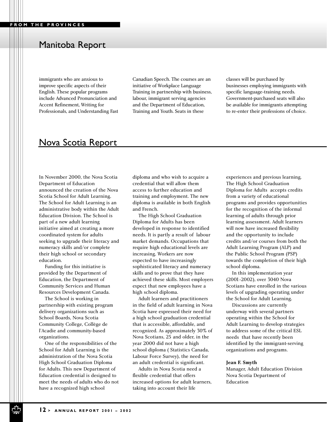### Manitoba Report

immigrants who are anxious to improve specific aspects of their English. These popular programs include Advanced Pronunciation and Accent Refinement, Writing for Professionals, and Understanding Fast

Canadian Speech. The courses are an initiative of Workplace Language Training in partnership with business, labour, immigrant serving agencies and the Department of Education, Training and Youth. Seats in these

classes will be purchased by businesses employing immigrants with specific language-training needs. Government-purchased seats will also be available for immigrants attempting to re-enter their professions of choice.

### Nova Scotia Report

In November 2000, the Nova Scotia Department of Education announced the creation of the Nova Scotia School for Adult Learning. The School for Adult Learning is an administrative body within the Adult Education Division. The School is part of a new adult learning initiative aimed at creating a more coordinated system for adults seeking to upgrade their literacy and numeracy skills and/or complete their high school or secondary education.

Funding for this initiative is provided by the Department of Education, the Department of Community Services and Human Resources Development Canada.

The School is working in partnership with existing program delivery organizations such as School Boards, Nova Scotia Community College, Collège de l'Acadie and community-based organizations.

One of the responsibilities of the School for Adult Learning is the administration of the Nova Scotia High School Graduation Diploma for Adults. This new Department of Education credential is designed to meet the needs of adults who do not have a recognized high school

diploma and who wish to acquire a credential that will allow them access to further education and training and employment. The new diploma is available in both English and French.

The High School Graduation Diploma for Adults has been developed in response to identified needs. It is partly a result of labour market demands. Occupations that require high educational levels are increasing. Workers are now expected to have increasingly sophisticated literacy and numeracy skills and to prove that they have achieved these skills. Most employers expect that new employees have a high school diploma.

Adult learners and practitioners in the field of adult learning in Nova Scotia have expressed their need for a high school graduation credential that is accessible, affordable, and recognized. As approximately 30% of Nova Scotians, 25 and older, in the year 2000 did not have a high school diploma ( Statistics Canada, Labour Force Survey), the need for an adult credential is significant.

Adults in Nova Scotia need a flexible credential that offers increased options for adult learners, taking into account their life

experiences and previous learning. The High School Graduation Diploma for Adults accepts credits from a variety of educational programs and provides opportunities for the recognition of the informal learning of adults through prior learning assessment. Adult learners will now have increased flexibility and the opportunity to include credits and/or courses from both the Adult Learning Program (ALP) and the Public School Program (PSP) towards the completion of their high school diploma.

In this implementation year (2001-2002), over 3040 Nova Scotians have enrolled in the various levels of upgrading operating under the School for Adult Learning.

Discussions are currently underway with several partners operating within the School for Adult Learning to develop strategies to address some of the critical ESL needs that have recently been identified by the immigrant-serving organizations and programs.

#### **Jean F. Smyth**

Manager, Adult Education Division Nova Scotia Department of Education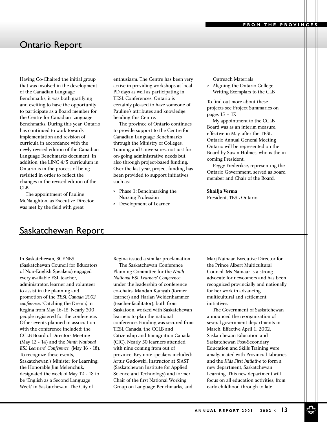### Ontario Report

Having Co-Chaired the initial group that was involved in the development of the Canadian Language Benchmarks, it was both gratifying and exciting to have the opportunity to participate as a Board member for the Centre for Canadian Language Benchmarks. During this year, Ontario has continued to work towards implementation and revision of curricula in accordance with the newly-revised edition of the Canadian Language Benchmarks document. In addition, the LINC 4/5 curriculum in Ontario is in the process of being revisited in order to reflect the changes in the revised edition of the CLB.

The appointment of Pauline McNaughton, as Executive Director, was met by the field with great

enthusiasm. The Centre has been very active in providing workshops at local PD days as well as participating in TESL Conferences. Ontario is certainly pleased to have someone of Pauline's attributes and knowledge heading this Centre.

The province of Ontario continues to provide support to the Centre for Canadian Language Benchmarks through the Ministry of Colleges, Training and Universities, not just for on-going administrative needs but also through project-based funding. Over the last year, project funding has been provided to support initiatives such as:

- > Phase 1: Benchmarking the Nursing Profession
- > Development of Learner

Outreach Materials

> Aligning the Ontario College Writing Exemplars to the CLB

To find out more about these projects see Project Summaries on pages 15 – 17.

My appointment to the CCLB Board was as an interim measure, effective in May. after the TESL Ontario Annual General Meeting Ontario will be represented on the Board by Susan Holmes, who is the incoming President.

Peggy Frederikse, representing the Ontario Government, served as board member and Chair of the Board.

#### **Shailja Verma** President, TESL Ontario

### Saskatchewan Report

In Saskatchewan, SCENES (Saskatchewan Council for Educators of Non-English Speakers) engaged every available ESL teacher, administrator, learner and volunteer to assist in the planning and promotion of the *TESL Canada 2002 conference,* 'Catching the Dream', in Regina from May 16-18. Nearly 300 people registered for the conference. Other events planned in association with the conference included: the CCLB Board of Directors Meeting (May 12 - 14) and the *Ninth National ESL Learners' Conference* (May 16 - 18). To recognize these events, Saskatchewan's Minister for Learning, the Honorable Jim Melenchuk, designated the week of May 12 - 18 to be 'English as a Second Language Week' in Saskatchewan. The City of

Regina issued a similar proclamation.

The Saskatchewan Conference Planning Committee for the *Ninth National ESL Learners' Conference*, under the leadership of conference co-chairs, Mandan Kamyab (former learner) and Harlan Weidenhammer (teacher-facilitator), both from Saskatoon, worked with Saskatchewan learners to plan the national conference. Funding was secured from TESL Canada, the CCLB and Citizenship and Immigration Canada (CIC). Nearly 50 learners attended, with nine coming from out of province. Key note speakers included: Artur Gudowski, Instructor at SIAST (Saskatchewan Institute for Applied Science and Technology) and former Chair of the first National Working Group on Language Benchmarks, and

Marj Nainaar, Executive Director for the Prince Albert Multicultural Council. Ms Nainaar is a strong advocate for newcomers and has been recognized provincially and nationally for her work in advancing multicultural and settlement initiatives.

The Government of Saskatchewan announced the reorganization of several government departments in March. Effective April 1, 2002, Saskatchewan Education and Saskatchewan Post-Secondary Education and Skills Training were amalgamated with Provincial Libraries and the *Kids First Initiative* to form a new department, Saskatchewan Learning. This new department will focus on all education activities, from early childhood through to late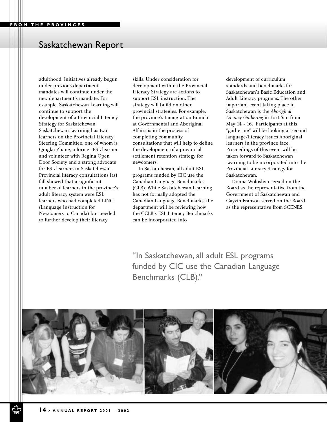### Saskatchewan Report

adulthood. Initiatives already begun under previous department mandates will continue under the new department's mandate. For example, Saskatchewan Learning will continue to support the development of a Provincial Literacy Strategy for Saskatchewan. Saskatchewan Learning has two learners on the Provincial Literacy Steering Committee, one of whom is Qinglai Zhang, a former ESL learner and volunteer with Regina Open Door Society and a strong advocate for ESL learners in Saskatchewan. Provincial literacy consultations last fall showed that a significant number of learners in the province's adult literacy system were ESL learners who had completed LINC (Language Instruction for Newcomers to Canada) but needed to further develop their literacy

skills. Under consideration for development within the Provincial Literacy Strategy are actions to support ESL instruction. The strategy will build on other provincial strategies. For example, the province's Immigration Branch at Governmental and Aboriginal Affairs is in the process of completing community consultations that will help to define the development of a provincial settlement retention strategy for newcomers.

In Saskatchewan, all adult ESL programs funded by CIC use the Canadian Language Benchmarks (CLB). While Saskatchewan Learning has not formally adopted the Canadian Language Benchmarks, the department will be reviewing how the CCLB's ESL Literacy Benchmarks can be incorporated into

development of curriculum standards and benchmarks for Saskatchewan's Basic Education and Adult Literacy programs. The other important event taking place in Saskatchewan is the *Aboriginal Literacy Gathering* in Fort San from May 14 - 16. Participants at this "gathering" will be looking at second language/literacy issues Aboriginal learners in the province face. Proceedings of this event will be taken forward to Saskatchewan Learning to be incorporated into the Provincial Literacy Strategy for Saskatchewan.

Donna Woloshyn served on the Board as the representative from the Government of Saskatchewan and Gayvin Franson served on the Board as the representative from SCENES.

"In Saskatchewan, all adult ESL programs funded by CIC use the Canadian Language Benchmarks (CLB)."

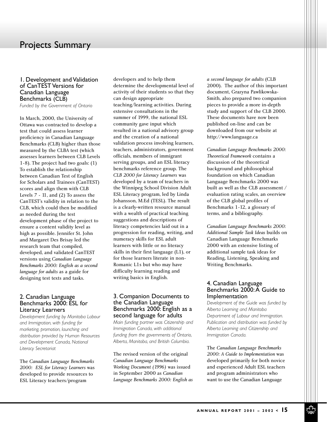### Projects Summary

#### 1. Development and Validation of CanTEST Versions for Canadian Language Benchmarks (CLB)

*Funded by the Government of Ontario*

In March, 2000, the University of Ottawa was contracted to develop a test that could assess learner proficiency in Canadian Language Benchmarks (CLB) higher than those measured by the CLBA test (which assesses learners between CLB Levels 1-8). The project had two goals: (1) To establish the relationship between Canadian Test of English for Scholars and Trainees (CanTEST) scores and align them with CLB Levels 7 - 11, and (2) To assess the CanTEST's validity in relation to the CLB, which could then be modified as needed during the test development phase of the project to ensure a content validity level as high as possible. Jennifer St. John and Margaret Des Brisay led the research team that compiled, developed, and validated CanTEST versions using *Canadian Language Benchmarks 2000: English as a second language for adults* as a guide for designing test texts and tasks.

#### 2. Canadian Language Benchmarks 2000: ESL for Literacy Learners

*Development funding by Manitoba Labour and Immigration, with funding for marketing, promotion, launching and distribution provided by Human Resources and Development Canada, National Literacy Secretariat*

The *Canadian Language Benchmarks 2000: ESL for Literacy Learners* was developed to provide resources to ESL Literacy teachers/program

developers and to help them determine the developmental level of activity of their students so that they can design appropriate teaching/learning activities. During extensive consultations in the summer of 1999, the national ESL community gave input which resulted in a national advisory group and the creation of a national validation process involving learners, teachers, administrators, government officials, members of immigrant serving groups, and an ESL literacy benchmarks reference group. The *CLB 2000 for Literacy Learners* was developed by a team of teachers in the Winnipeg School Division Adult ESL Literacy program, led by Linda Johansson, M.Ed (TESL). The result is a clearly-written resource manual with a wealth of practical teaching suggestions and descriptions of literacy competencies laid out in a progression for reading, writing, and numeracy skills for ESL adult learners with little or no literacy skills in their first language (L1), or for those learners literate in non-Romanic L1s but who may have difficulty learning reading and writing basics in English.

#### 3. Companion Documents to the Canadian Language Benchmarks 2000: English as a second language for adults

*Main funding partner was Citizenship and Immigration Canada, with additional funding from the governments of Ontario, Alberta, Manitoba, and British Columbia.*

The revised version of the original *Canadian Language Benchmarks Working Document (1996)* was issued in September 2000 as *Canadian Language Benchmarks 2000: English as* *a second language for adults* (CLB 2000). The author of this important document, Grazyna Pawlikowska-Smith, also prepared two companion pieces to provide a more in-depth study and support of the CLB 2000. These documents have now been published on-line and can be downloaded from our website at http://www.language.ca

*Canadian Language Benchmarks 2000: Theoretical Framework* contains a discussion of the theoretical background and philosophical foundation on which Canadian Language Benchmarks 2000 was built as well as the CLB assessment / evaluation rating scales, an overview of the CLB global profiles of Benchmarks 1-12, a glossary of terms, and a bibliography.

*Canadian Language Benchmarks 2000: Additional Sample Task Ideas* builds on Canadian Language Benchmarks 2000 with an extensive listing of additional sample task ideas for Reading, Listening, Speaking and Writing Benchmarks.

#### 4. Canadian Language Benchmarks 2000: A Guide to Implementation

*Development of the Guide was funded by Alberta Learning and Manitoba Department of Labour and Immigration. Publication and distribution was funded by Alberta Learning and Citizenship and Immigration Canada.*

The *Canadian Language Benchmarks 2000: A Guide to Implementation* was developed primarily for both novice and experienced Adult ESL teachers and program administrators who want to use the Canadian Language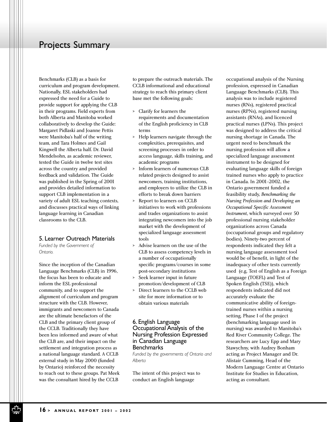### Projects Summary

Benchmarks (CLB) as a basis for curriculum and program development. Nationally, ESL stakeholders had expressed the need for a Guide to provide support for applying the CLB in their programs. Field experts from both Alberta and Manitoba worked collaboratively to develop the Guide: Margaret Pidlaski and Joanne Pettis were Manitoba's half of the writing team, and Tara Holmes and Gail Kingwell the Alberta half. Dr. David Mendelsohn, as academic reviewer, tested the Guide in twelve test sites across the country and provided feedback and validation. The Guide was published in the Spring of 2001 and provides detailed information to support CLB implementation in a variety of adult ESL teaching contexts, and discusses practical ways of linking language learning in Canadian classrooms to the CLB.

#### 5. Learner Outreach Materials

*Funded by the Government of Ontario.*

Since the inception of the Canadian Language Benchmarks (CLB) in 1996, the focus has been to educate and inform the ESL professional community, and to support the alignment of curriculum and program structure with the CLB. However, immigrants and newcomers to Canada are the ultimate benefactors of the CLB and the primary client group of the CCLB. Traditionally they have been less informed and aware of what the CLB are, and their impact on the settlement and integration process as a national language standard. A CCLB external study in May 2000 (funded by Ontario) reinforced the necessity to reach out to these groups. Pat Meek was the consultant hired by the CCLB

to prepare the outreach materials. The CCLB informational and educational strategy to reach this primary client base met the following goals:

- > Clarify for learners the requirements and documentation of the English proficiency in CLB terms
- > Help learners navigate through the complexities, prerequisites, and screening processes in order to access language, skills training, and academic programs
- > Inform learners of numerous CLB related projects designed to assist newcomers, training institutions, and employers to utilize the CLB in efforts to break down barriers
- > Report to learners on CCLB initiatives to work with professions and trades organizations to assist integrating newcomers into the job market with the development of specialized language assessment tools
- > Advise learners on the use of the CLB to assess competency levels in a number of occupationally specific programs/courses in some post-secondary institutions
- > Seek learner input in future promotion/development of CLB
- > Direct learners to the CCLB web site for more information or to obtain various materials

#### 6. English Language Occupational Analysis of the Nursing Profession Expressed in Canadian Language **Benchmarks**

*Funded by the governments of Ontario and Alberta*

The intent of this project was to conduct an English language

occupational analysis of the Nursing profession, expressed in Canadian Language Benchmarks (CLB). This analysis was to include registered nurses (RNs), registered practical nurses (RPNs), registered nursing assistants (RNAs), and licenced practical nurses (LPNs). This project was designed to address the critical nursing shortage in Canada. The urgent need to benchmark the nursing profession will allow a specialized language assessment instrument to be designed for evaluating language skills of foreign trained nurses who apply to practice in Canada. In 2001-2002, the Ontario government funded a feasibility study, *Benchmarking the Nursing Profession and Developing an Occupational Specific Assessment Instrument*, which surveyed over 50 professional nursing stakeholder organizations across Canada (occupational groups and regulatory bodies). Ninety-two percent of respondents indicated they felt a nursing language assessment tool would be of benefit, in light of the inadequacy of other tests currently used (e.g. Test of English as a Foreign Language (TOEFL) and Test of Spoken English (TSE)), which respondents indicated did not accurately evaluate the communicative ability of foreigntrained nurses within a nursing setting. Phase I of the project (benchmarking language used in nursing) was awarded to Manitoba's Red River Community College. The researchers are Lucy Epp and Mary Stawychny, with Audrey Bonham acting as Project Manager and Dr. Alistair Cumming, Head of the Modern Language Centre at Ontario Institute for Studies in Education, acting as consultant.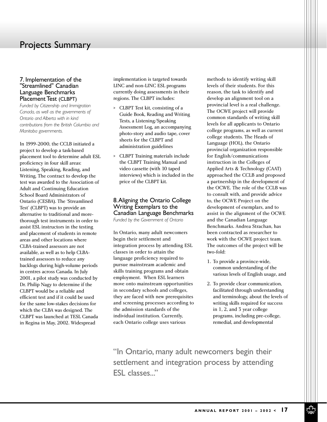### Projects Summary

#### 7. Implementation of the "Streamlined" Canadian Language Benchmarks Placement Test (CLBPT)

*Funded by Citizenship and Immigration Canada, as well as the governments of Ontario and Alberta with in kind contributions from the British Columbia and Manitoba governments.*

In 1999-2000, the CCLB initiated a project to develop a task-based placement tool to determine adult ESL proficiency in four skill areas: Listening, Speaking, Reading, and Writing. The contract to develop the test was awarded to the Association of Adult and Continuing Education School Board Administrators of Ontario (CESBA). The 'Streamlined Test' (CLBPT) was to provide an alternative to traditional and morethorough test instruments in order to assist ESL instructors in the testing and placement of students in remote areas and other locations where CLBA-trained assessors are not available, as well as to help CLBAtrained assessors to reduce any backlogs during high-volume periods in centres across Canada. In July 2001, a pilot study was conducted by Dr. Philip Nagy to determine if the CLBPT would be a reliable and efficient test and if it could be used for the same low-stakes decisions for which the CLBA was designed. The CLBPT was launched at TESL Canada in Regina in May, 2002. Widespread

implementation is targeted towards LINC and non-LINC ESL programs currently doing assessments in their regions. The CLBPT includes:

- > CLBPT Test kit, consisting of a Guide Book, Reading and Writing Tests, a Listening/Speaking Assessment Log, an accompanying photo-story and audio tape, cover sheets for the CLBPT and administration guidelines
- > CLBPT Training materials include the CLBPT Training Manual and video cassette (with 10 taped interviews) which is included in the price of the CLBPT kit.

#### 8.Aligning the Ontario College Writing Exemplars to the Canadian Language Benchmarks *Funded by the Government of Ontario*

In Ontario, many adult newcomers begin their settlement and integration process by attending ESL classes in order to attain the language proficiency required to pursue mainstream academic and skills training programs and obtain employment. When ESL learners move onto mainstream opportunities in secondary schools and colleges, they are faced with new prerequisites and screening processes according to the admission standards of the individual institution. Currently, each Ontario college uses various

methods to identify writing skill levels of their students. For this reason, the task to identify and develop an alignment tool on a provincial level is a real challenge. The OCWE project will provide common standards of writing skill levels for all applicants to Ontario college programs, as well as current college students. The Heads of Language (HOL), the Ontario provincial organization responsible for English/communications instruction in the Colleges of Applied Arts & Technology (CAAT) approached the CCLB and proposed a partnership in the development of the OCWE. The role of the CCLB was to consult with, and provide advice to, the OCWE Project on the development of exemplars, and to assist in the alignment of the OCWE and the Canadian Language Benchmarks. Andrea Strachan, has been contracted as researcher to work with the OCWE project team. The outcomes of the project will be two-fold:

- 1. To provide a province-wide, common understanding of the various levels of English usage, and
- 2. To provide clear communication, facilitated through understanding and terminology, about the levels of writing skills required for success in 1, 2, and 3 year college programs, including pre-college, remedial, and developmental

"In Ontario, many adult newcomers begin their settlement and integration process by attending ESL classes..."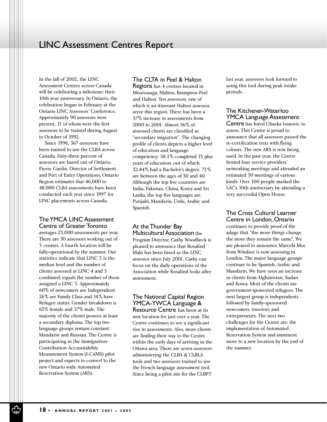### LINC Assessment Centres Report

In the fall of 2002, the LINC Assessment Centres across Canada will be celebrating a milestone: their 10th year anniversary. In Ontario, the celebration began in February at the Ontario LINC Assessors' Conference. Approximately 90 assessors were present, 11 of whom were the first assessors to be trained during August to October of 1992.

Since 1996, 367 assessors have been trained to use the CLBA across Canada. Sixty-three percent of assessors are based out of Ontario. Pierre Gaulin, Director of Settlement and Port of Entry Operations, Ontario Region estimates that 46,000 to 48,000 CLBA assessments have been conducted each year since 1997 for LINC placements across Canada.

#### The YMCA LINC Assessment Centre of Greater Toronto

averages 23,000 assessments per year. There are 30 assessors working out of 3 centres. A fourth location will be fully-operational by the summer. Our statistics indicate that LINC 3 is the median level and the number of clients assessed at LINC 4 and 5 combined, equals the number of those assigned a LINC 3. Approximately 60% of newcomers are Independent; 26% are Family Class and 14% have Refugee status. Gender breakdown is 63% female and 37% male. The majority of the clients possess at least a secondary diploma. The top two language groups remain constant: Mandarin and Russian. The Centre is participating in the Immigration-Contribution Accountability Measurement System (I-CAMS) pilot project and expects to convert to the new Ontario wide Automated Reservation System (ARS).

#### The CLTA in Peel & Halton

Regions has 4 centres located in Mississauga, Malton, Brampton-Peel and Halton. Ten assessors, one of which is an itinerant Halton assessor, serve this region. There has been a 57% increase in assessments from 2000 to 2001. Almost 56% of assessed clients are classified as "secondary migration". The changing profile of clients depicts a higher level of education and language competency: 58.1% completed 13 plus years of education, out of which 32.84% had a Bachelor's degree. 71% are between the ages of 30 and 40. Although the top five countries are India, Pakistan, China, Korea and Sri Lanka, the top five languages are Punjabi, Mandarin, Urdu, Arabic and Spanish.

At the Thunder Bay Multicultural Association the Program Director, Cathy Woodbeck is pleased to announce that Rosalind Maki has been hired as the LINC assessor since July 2001. Cathy can focus on the daily operations of the Association while Rosalind looks after assessment.

#### The National Capital Region YMCA-YWCA Language &

Resource Centre has been at its new location for just over a year. The Centre continues to see a significant rise in assessments. Also, more clients are finding their way to the Centre within the early days of arriving in the Ottawa area. There are seven assessors administering the CLBA & CLBLA tools and two assessors trained to use the French language assessment tool. Since being a pilot site for the CLBPT

last year, assessors look forward to using this tool during peak intake periods.

#### The Kitchener-Waterloo YMCA Language Assessment

Centre has hired Ubavka Ivanovic to assess. This Centre is proud to announce that all assessors passed the re-certification tests with flying colours. The new ARS is now being used. In the past year, the Centre hosted four service providers' networking meetings and attended an estimated 50 meetings of various kinds. Over 100 people marked the LAC's 10th anniversary by attending a very successful Open House.

The Cross Cultural Learner Centre in London, Ontario

continues to provide proof of the adage that "the more things change, the more they remain the same". We are pleased to announce Marcela Moc from Windsor is now assessing in London. The major language groups continue to be Spanish, Arabic and Mandarin. We have seen an increase in clients from Afghanistan, Sudan and Korea. Most of the clients are government-sponsored refugees. The next largest group is independents followed by family-sponsored newcomers, investors and entrepreneurs. The next two challenges for the Centre are: the implementation of Automated Reservation System and imminent move to a new location by the end of the summer.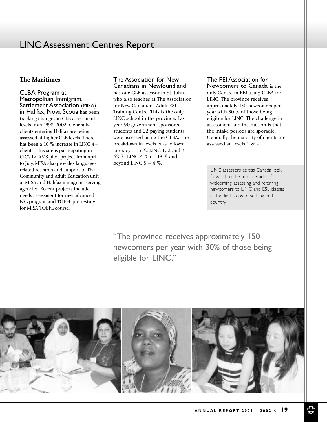### LINC Assessment Centres Report

#### **The Maritimes**

CLBA Program at Metropolitan Immigrant Settlement Association (MISA) in Halifax, Nova Scotia has been tracking changes in CLB assessment levels from 1998-2002. Generally, clients entering Halifax are being assessed at higher CLB levels. There has been a 10 % increase in LINC 4+ clients. This site is participating in CIC's I-CAMS pilot project from April to July. MISA also provides languagerelated research and support to The Community and Adult Education unit at MISA and Halifax immigrant serving agencies. Recent projects include needs assessment for new advanced ESL program and TOEFL pre-testing for MISA TOEFL course.

### The Association for New

Canadians in Newfoundland has one CLB assessor in St. John's who also teaches at The Association for New Canadians Adult ESL Training Centre. This is the only LINC school in the province. Last year 90 government-sponsored students and 22 paying students were assessed using the CLBA. The breakdown in levels is as follows: Literacy – 13 %; LINC 1, 2 and 3 – 62 %; LINC 4 &5 – 18 % and beyond LINC  $5 - 4$  %.

The PEI Association for

Newcomers to Canada is the only Centre in PEI using CLBA for LINC. The province receives approximately 150 newcomers per year with 30 % of those being eligible for LINC. The challenge in assessment and instruction is that the intake periods are sporadic. Generally the majority of clients are assessed at Levels 1 & 2.

LINC assessors across Canada look forward to the next decade of welcoming, assessing and referring newcomers to LINC and ESL classes as the first steps to settling in this country.

"The province receives approximately 150 newcomers per year with 30% of those being eligible for LINC."

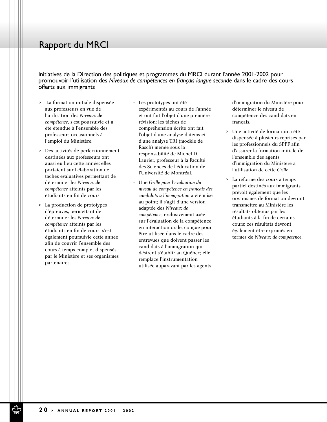### Rapport du MRCI

Initiatives de la Direction des politiques et programmes du MRCI durant l'année 2001-2002 pour promouvoir l'utilisation des *Niveaux de compétences en français langue seconde* dans le cadre des cours offerts aux immigrants

- > La formation initiale dispensée aux professeurs en vue de l'utilisation des *Niveaux de compétence*, s'est poursuivie et a été étendue à l'ensemble des professeurs occasionnels à l'emploi du Ministère.
- > Des activités de perfectionnement destinées aux professeurs ont aussi eu lieu cette année; elles portaient sur l'élaboration de tâches évaluatives permettant de déterminer les *Niveaux de compétence* atteints par les étudiants en fin de cours.
- > La production de prototypes d'épreuves, permettant de déterminer les *Niveaux de compétence* atteints par les étudiants en fin de cours, s'est également poursuivie cette année afin de couvrir l'ensemble des cours à temps complet dispensés par le Ministère et ses organismes partenaires.
- > Les prototypes ont été expérimentés au cours de l'année et ont fait l'objet d'une première révision; les tâches de compréhension écrite ont fait l'objet d'une analyse d'items et d'une analyse TRI (modèle de Rasch) menée sous la responsabilité de Michel D. Laurier, professeur à la Faculté des Sciences de l'éducation de l'Université de Montréal.
- > Une *Grille pour l'évaluation du niveau de compétence en français des candidats à l'immigration* a été mise au point; il s'agit d'une version adaptée des *Niveaux de compétence*, exclusivement axée sur l'évaluation de la compétence en interaction orale, conçue pour être utilisée dans le cadre des entrevues que doivent passer les candidats à l'immigration qui désirent s'établir au Québec; elle remplace l'instrumentation utilisée auparavant par les agents

d'immigration du Ministère pour déterminer le niveau de compétence des candidats en français.

- > Une activité de formation a été dispensée à plusieurs reprises par les professionnels du SPPF afin d'assurer la formation initiale de l'ensemble des agents d'immigration du Ministère à l'utilisation de cette *Grille*.
- > La réforme des cours à temps partiel destinés aux immigrants prévoit également que les organismes de formation devront transmettre au Ministère les résultats obtenus par les étudiants à la fin de certains cours; ces résultats devront également être exprimés en termes de *Niveaux de compétence*.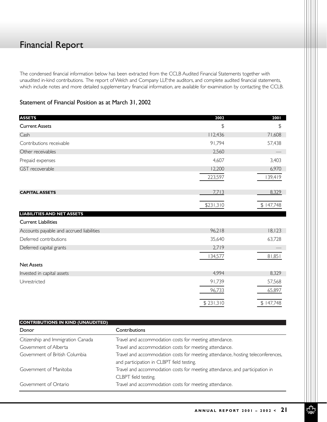## Financial Report

The condensed financial information below has been extracted from the CCLB Audited Financial Statements together with unaudited in-kind contributions. The report of Welch and Company LLP, the auditors, and complete audited financial statements, which include notes and more detailed supplementary financial information, are available for examination by contacting the CCLB.

#### Statement of Financial Position as at March 31, 2002

| <b>ASSETS</b>                            | 2002           | 2001      |
|------------------------------------------|----------------|-----------|
| <b>Current Assets</b>                    | $\mathfrak{P}$ | \$        |
| Cash                                     | 112,436        | 71,608    |
| Contributions receivable                 | 91,794         | 57,438    |
| Other receivables                        | 2,560          |           |
| Prepaid expenses                         | 4,607          | 3,403     |
| GST recoverable                          | 12,200         | 6,970     |
|                                          | 223,597        | 139,419   |
| <b>CAPITAL ASSETS</b>                    | 7,713          | 8,329     |
|                                          | \$231,310      | \$147,748 |
| <b>LIABILITIES AND NET ASSETS</b>        |                |           |
| <b>Current Liabilities</b>               |                |           |
| Accounts payable and accrued liabilities | 96,218         | 18, 123   |
| Deferred contributions                   | 35,640         | 63,728    |
| Deferred capital grants                  | 2,719          |           |
|                                          | 134,577        | 81,851    |
| <b>Net Assets</b>                        |                |           |
| Invested in capital assets               | 4,994          | 8,329     |
| Unrestricted                             | 91,739         | 57,568    |
|                                          | 96,733         | 65,897    |
|                                          | \$231,310      | \$147,748 |

| <b>CONTRIBUTIONS IN KIND (UNAUDITED)</b> |                                                                                                                              |  |  |
|------------------------------------------|------------------------------------------------------------------------------------------------------------------------------|--|--|
| Donor                                    | <b>Contributions</b>                                                                                                         |  |  |
| Citizenship and Immigration Canada       | Travel and accommodation costs for meeting attendance.                                                                       |  |  |
| Government of Alberta                    | Travel and accommodation costs for meeting attendance.                                                                       |  |  |
| Government of British Columbia           | Travel and accommodation costs for meeting attendance, hosting teleconferences,<br>and participation in CLBPT field testing. |  |  |
| Government of Manitoba                   | Travel and accommodation costs for meeting attendance, and participation in<br>CLBPT field testing.                          |  |  |
| Government of Ontario                    | Travel and accommodation costs for meeting attendance.                                                                       |  |  |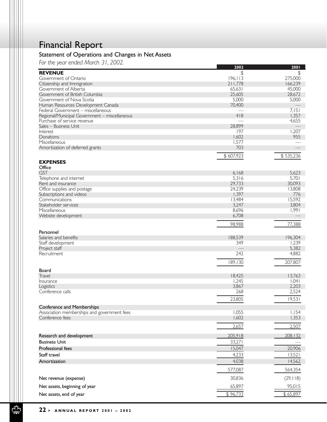# Financial Report

### Statement of Operations and Changes in Net Assets

*For the year ended March 31, 2002.*

| $\sim$ are year choconvidients, zooz.         | 2002          | 2001      |
|-----------------------------------------------|---------------|-----------|
| <b>REVENUE</b>                                | $\frac{1}{2}$ | \$        |
| Government of Ontario                         | 196, 113      | 275,000   |
| Citizenship and Immigration                   | 211,778       | 166,239   |
| Government of Alberta                         | 65,631        | 45,000    |
| Government of British Columbia                | 25,605        | 28,672    |
| Government of Nova Scotia                     | 5,000         | 5,000     |
| Human Resources Development Canada            | 70,400        |           |
| Federal Government - miscellaneous            |               | 7,151     |
| Regional/Municipal Government - miscellaneous | 418           | 1,357     |
| Purchase of service revenue                   |               | 4,655     |
| Sales - Business Unit                         | 28,899        |           |
| Interest                                      | 197           | 1,207     |
| Donations                                     | 1,602         | 955       |
| Miscellaneous                                 | 1,577         |           |
| Amortization of deferred grants               | 703           |           |
|                                               |               |           |
|                                               | \$607,923     | \$535,236 |
| <b>EXPENSES</b>                               |               |           |
| Office                                        |               |           |
| <b>GST</b>                                    | 6,168         | 5,623     |
| Telephone and internet                        | 5,316         | 5,701     |
| Rent and insurance                            | 29,733        | 30,093    |
| Office supplies and postage                   | 24,239        | 13,808    |
| Subscriptions and videos                      | 1,397         | 776       |
| Communications                                | 13,484        | 15,592    |
| Stakeholder services                          | 3,247         | 3,804     |
| Miscellaneous                                 | 8,696         | 1,991     |
| Website development                           | 6,708         |           |
|                                               |               |           |
|                                               | 98,988        | 77,388    |
| Personnel                                     |               |           |
| Salaries and benefits                         | 188,539       | 196,304   |
| Staff development                             | 349           | 1,239     |
| Project staff                                 |               | 5,382     |
| Recruitment                                   | 242           | 4,882     |
|                                               |               |           |
|                                               | 189,130       | 207,807   |
| Board                                         |               |           |
| Travel                                        | 18,425        | 13,763    |
| Insurance                                     | 1,245         | 1,041     |
| Logistics                                     | 3,867         | 2,203     |
| Conference calls                              | 268           | 2,524     |
|                                               |               |           |
|                                               | 23,805        | 19,531    |
| Conference and Memberships                    |               |           |
| Association memberships and government fees   | 1,055         | 1,154     |
| Conference fees                               | 1,602         | 1,353     |
|                                               |               |           |
|                                               | 2,657         | 2,507     |
|                                               | 205,918       | 208,132   |
| Research and development                      |               |           |
| <b>Business Unit</b>                          | 33,271        |           |
| Professional fees                             | 15,047        | 20,906    |
| Staff travel                                  | 4,233         | 13,521    |
| Amortization                                  | 4,038         | 14,562    |
|                                               |               |           |
|                                               | 577,087       | 564,354   |
| Net revenue (expense)                         | 30,836        | (29, 118) |
|                                               |               |           |
| Net assets, beginning of year                 | 65,897        | 95,015    |
| Net assets, end of year                       | \$96,733      | \$65,897  |
|                                               |               |           |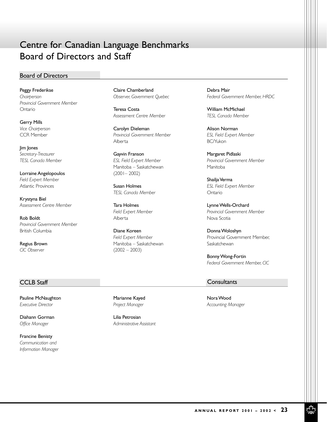# Centre for Canadian Language Benchmarks Board of Directors and Staff

#### Board of Directors

Peggy Frederikse *Chairperson Provincial Government Member* Ontario

Gerry Mills *Vice Chairperson* CCR Member

Jim Jones *Secretary-Treasurer TESL Canada Member*

Lorraine Angelopoulos *Field Expert Member* Atlantic Provinces

Krystyna Biel *Assessment Centre Member*

Rob Boldt *Provincial Government Member* British Columbia

Regius Brown *CIC Observer*

Claire Chamberland *Observer, Government Quebec*

Teresa Costa *Assessment Centre Member*

Carolyn Dieleman *Provincial Government Member* Alberta

Gayvin Franson *ESL Field Expert Member* Manitoba – Saskatchewan (2001– 2002)

Susan Holmes *TESL Canada Member*

Tara Holmes *Field Expert Member* Alberta

Diane Koreen *Field Expert Member* Manitoba – Saskatchewan  $(2002 - 2003)$ 

Debra Mair *Federal Government Member, HRDC*

William McMichael *TESL Canada Member*

Alison Norman *ESL Field Expert Member* BC/Yukon

Margaret Pidlaski *Provincial Government Member* Manitoba

Shailja Verma *ESL Field Expert Member* Ontario

Lynne Wells-Orchard *Provincial Government Member* Nova Scotia

Donna Woloshyn Provincial Government Member, **Saskatchewan** 

Bonny Wong-Fortin *Federal Government Member, CIC*

#### **CCLB Staff** CONSULTANTS CONSULTANTS CONSULTANTS

Pauline McNaughton *Executive Director*

Diahann Gorman *Office Manager*

Francine Benisty *Communication and Information Manager* Marianne Kayed *Project Manager*

Lilia Petrosian *Administrative Assistant*

Nora Wood *Accounting Manager*